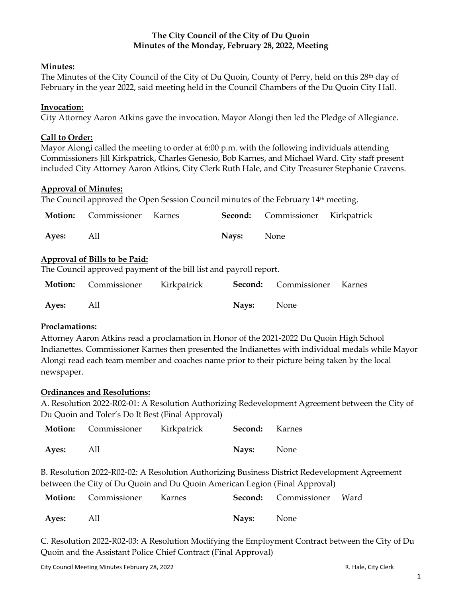# **The City Council of the City of Du Quoin Minutes of the Monday, February 28, 2022, Meeting**

## **Minutes:**

The Minutes of the City Council of the City of Du Quoin, County of Perry, held on this 28th day of February in the year 2022, said meeting held in the Council Chambers of the Du Quoin City Hall.

### **Invocation:**

City Attorney Aaron Atkins gave the invocation. Mayor Alongi then led the Pledge of Allegiance.

### **Call to Order:**

Mayor Alongi called the meeting to order at 6:00 p.m. with the following individuals attending Commissioners Jill Kirkpatrick, Charles Genesio, Bob Karnes, and Michael Ward. City staff present included City Attorney Aaron Atkins, City Clerk Ruth Hale, and City Treasurer Stephanie Cravens.

### **Approval of Minutes:**

The Council approved the Open Session Council minutes of the February 14<sup>th</sup> meeting.

|           | <b>Motion:</b> Commissioner Karnes |                   | Second: Commissioner Kirkpatrick |  |
|-----------|------------------------------------|-------------------|----------------------------------|--|
| Ayes: All |                                    | <b>Navs:</b> None |                                  |  |

### **Approval of Bills to be Paid:**

The Council approved payment of the bill list and payroll report.

|           | <b>Motion:</b> Commissioner Kirkpatrick <b>Second:</b> Commissioner Karnes |                   |  |
|-----------|----------------------------------------------------------------------------|-------------------|--|
| Ayes: All |                                                                            | <b>Nays:</b> None |  |

## **Proclamations:**

Attorney Aaron Atkins read a proclamation in Honor of the 2021-2022 Du Quoin High School Indianettes. Commissioner Karnes then presented the Indianettes with individual medals while Mayor Alongi read each team member and coaches name prior to their picture being taken by the local newspaper.

#### **Ordinances and Resolutions:**

A. Resolution 2022-R02-01: A Resolution Authorizing Redevelopment Agreement between the City of Du Quoin and Toler's Do It Best (Final Approval)

|           | <b>Motion:</b> Commissioner Kirkpatrick | <b>Second:</b> Karnes |  |
|-----------|-----------------------------------------|-----------------------|--|
| Ayes: All |                                         | Nays: None            |  |

B. Resolution 2022-R02-02: A Resolution Authorizing Business District Redevelopment Agreement between the City of Du Quoin and Du Quoin American Legion (Final Approval)

|           | <b>Motion:</b> Commissioner Karnes |                   | Second: Commissioner Ward |  |
|-----------|------------------------------------|-------------------|---------------------------|--|
| Ayes: All |                                    | <b>Navs:</b> None |                           |  |

C. Resolution 2022-R02-03: A Resolution Modifying the Employment Contract between the City of Du Quoin and the Assistant Police Chief Contract (Final Approval)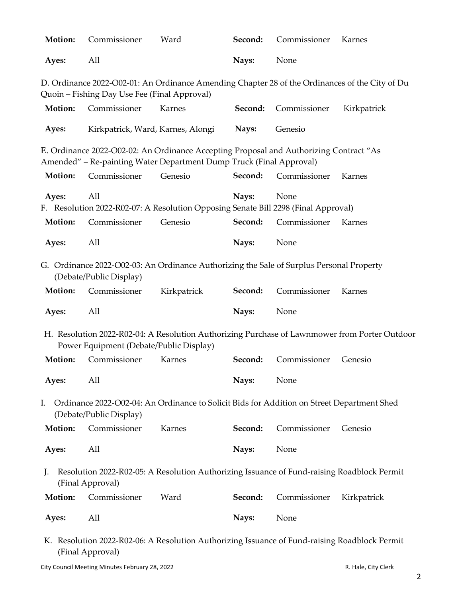| Motion:                                                                                                              | Commissioner                                                                                                        | Ward                                                                                                                                                          | Second: | Commissioner | Karnes                                                                                         |  |  |
|----------------------------------------------------------------------------------------------------------------------|---------------------------------------------------------------------------------------------------------------------|---------------------------------------------------------------------------------------------------------------------------------------------------------------|---------|--------------|------------------------------------------------------------------------------------------------|--|--|
| Ayes:                                                                                                                | All                                                                                                                 |                                                                                                                                                               | Nays:   | None         |                                                                                                |  |  |
|                                                                                                                      | Quoin - Fishing Day Use Fee (Final Approval)                                                                        |                                                                                                                                                               |         |              | D. Ordinance 2022-O02-01: An Ordinance Amending Chapter 28 of the Ordinances of the City of Du |  |  |
| Motion:                                                                                                              | Commissioner                                                                                                        | Karnes                                                                                                                                                        | Second: | Commissioner | Kirkpatrick                                                                                    |  |  |
| Ayes:                                                                                                                |                                                                                                                     | Kirkpatrick, Ward, Karnes, Alongi                                                                                                                             | Nays:   | Genesio      |                                                                                                |  |  |
|                                                                                                                      |                                                                                                                     | E. Ordinance 2022-O02-02: An Ordinance Accepting Proposal and Authorizing Contract "As<br>Amended" - Re-painting Water Department Dump Truck (Final Approval) |         |              |                                                                                                |  |  |
| Motion:                                                                                                              | Commissioner                                                                                                        | Genesio                                                                                                                                                       | Second: | Commissioner | Karnes                                                                                         |  |  |
| Ayes:                                                                                                                | All                                                                                                                 | F. Resolution 2022-R02-07: A Resolution Opposing Senate Bill 2298 (Final Approval)                                                                            | Nays:   | None         |                                                                                                |  |  |
| Motion:                                                                                                              | Commissioner                                                                                                        | Genesio                                                                                                                                                       | Second: | Commissioner | Karnes                                                                                         |  |  |
| Ayes:                                                                                                                | All                                                                                                                 |                                                                                                                                                               | Nays:   | None         |                                                                                                |  |  |
|                                                                                                                      | G. Ordinance 2022-O02-03: An Ordinance Authorizing the Sale of Surplus Personal Property<br>(Debate/Public Display) |                                                                                                                                                               |         |              |                                                                                                |  |  |
| Motion:                                                                                                              | Commissioner                                                                                                        | Kirkpatrick                                                                                                                                                   | Second: | Commissioner | Karnes                                                                                         |  |  |
| Ayes:                                                                                                                | All                                                                                                                 |                                                                                                                                                               | Nays:   | None         |                                                                                                |  |  |
|                                                                                                                      | Power Equipment (Debate/Public Display)                                                                             |                                                                                                                                                               |         |              | H. Resolution 2022-R02-04: A Resolution Authorizing Purchase of Lawnmower from Porter Outdoor  |  |  |
| Motion:                                                                                                              | Commissioner                                                                                                        | Karnes                                                                                                                                                        | Second: | Commissioner | Genesio                                                                                        |  |  |
| Ayes:                                                                                                                | All                                                                                                                 |                                                                                                                                                               | Nays:   | None         |                                                                                                |  |  |
| I.                                                                                                                   | (Debate/Public Display)                                                                                             | Ordinance 2022-O02-04: An Ordinance to Solicit Bids for Addition on Street Department Shed                                                                    |         |              |                                                                                                |  |  |
| Motion:                                                                                                              | Commissioner                                                                                                        | Karnes                                                                                                                                                        | Second: | Commissioner | Genesio                                                                                        |  |  |
| Ayes:                                                                                                                | All                                                                                                                 |                                                                                                                                                               | Nays:   | None         |                                                                                                |  |  |
| Resolution 2022-R02-05: A Resolution Authorizing Issuance of Fund-raising Roadblock Permit<br>J.<br>(Final Approval) |                                                                                                                     |                                                                                                                                                               |         |              |                                                                                                |  |  |
| <b>Motion:</b>                                                                                                       | Commissioner                                                                                                        | Ward                                                                                                                                                          | Second: | Commissioner | Kirkpatrick                                                                                    |  |  |
| Ayes:                                                                                                                | All                                                                                                                 |                                                                                                                                                               | Nays:   | None         |                                                                                                |  |  |
|                                                                                                                      |                                                                                                                     | K Resolution 2022-R02-06: A Resolution Authorizing Issuance of Fund-raising Roadblock Permit                                                                  |         |              |                                                                                                |  |  |

K. Resolution 2022-R02-06: A Resolution Authorizing Issuance of Fund-raising Roadblock Permit (Final Approval)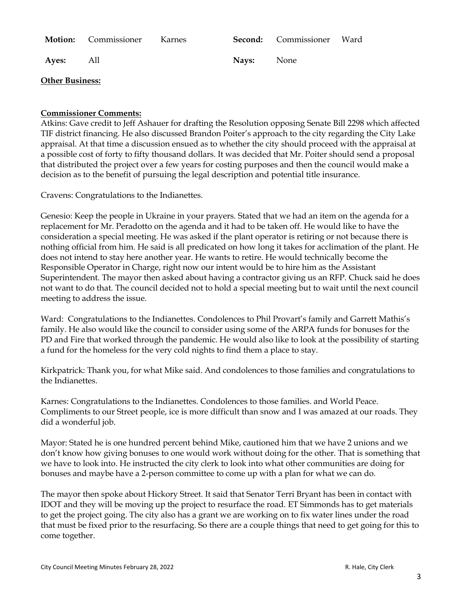|           | <b>Motion:</b> Commissioner Karnes |                   | Second: Commissioner Ward |  |
|-----------|------------------------------------|-------------------|---------------------------|--|
| Ayes: All |                                    | <b>Nays:</b> None |                           |  |

## **Other Business:**

## **Commissioner Comments:**

Atkins: Gave credit to Jeff Ashauer for drafting the Resolution opposing Senate Bill 2298 which affected TIF district financing. He also discussed Brandon Poiter's approach to the city regarding the City Lake appraisal. At that time a discussion ensued as to whether the city should proceed with the appraisal at a possible cost of forty to fifty thousand dollars. It was decided that Mr. Poiter should send a proposal that distributed the project over a few years for costing purposes and then the council would make a decision as to the benefit of pursuing the legal description and potential title insurance.

Cravens: Congratulations to the Indianettes.

Genesio: Keep the people in Ukraine in your prayers. Stated that we had an item on the agenda for a replacement for Mr. Peradotto on the agenda and it had to be taken off. He would like to have the consideration a special meeting. He was asked if the plant operator is retiring or not because there is nothing official from him. He said is all predicated on how long it takes for acclimation of the plant. He does not intend to stay here another year. He wants to retire. He would technically become the Responsible Operator in Charge, right now our intent would be to hire him as the Assistant Superintendent. The mayor then asked about having a contractor giving us an RFP. Chuck said he does not want to do that. The council decided not to hold a special meeting but to wait until the next council meeting to address the issue.

Ward: Congratulations to the Indianettes. Condolences to Phil Provart's family and Garrett Mathis's family. He also would like the council to consider using some of the ARPA funds for bonuses for the PD and Fire that worked through the pandemic. He would also like to look at the possibility of starting a fund for the homeless for the very cold nights to find them a place to stay.

Kirkpatrick: Thank you, for what Mike said. And condolences to those families and congratulations to the Indianettes.

Karnes: Congratulations to the Indianettes. Condolences to those families. and World Peace. Compliments to our Street people, ice is more difficult than snow and I was amazed at our roads. They did a wonderful job.

Mayor: Stated he is one hundred percent behind Mike, cautioned him that we have 2 unions and we don't know how giving bonuses to one would work without doing for the other. That is something that we have to look into. He instructed the city clerk to look into what other communities are doing for bonuses and maybe have a 2-person committee to come up with a plan for what we can do.

The mayor then spoke about Hickory Street. It said that Senator Terri Bryant has been in contact with IDOT and they will be moving up the project to resurface the road. ET Simmonds has to get materials to get the project going. The city also has a grant we are working on to fix water lines under the road that must be fixed prior to the resurfacing. So there are a couple things that need to get going for this to come together.